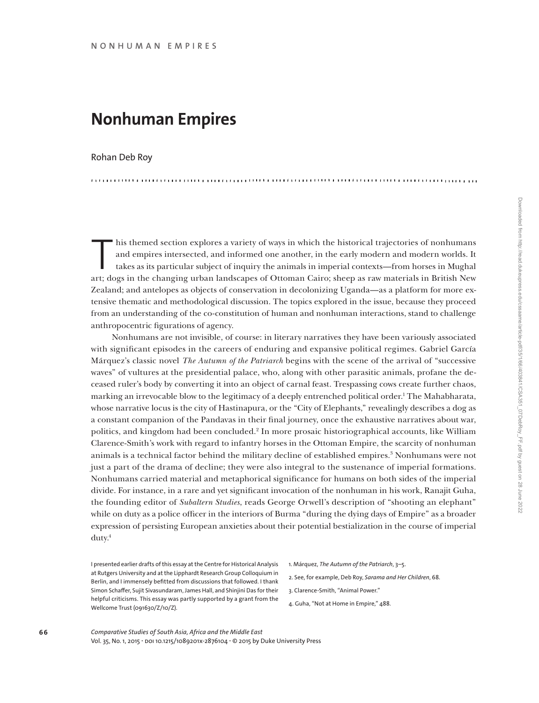# **Nonhuman Empires**

## Rohan Deb Roy

his themed section explores a variety of ways in which the historical trajectories of nonhumans and empires intersected, and informed one another, in the early modern and modern worlds. It takes as its particular subject of inquiry the animals in imperial contexts—from horses in Mughal art; dogs in the changing urban landscapes of Ottoman Cairo; sheep as raw materials in British New Zealand; and antelopes as objects of conservation in decolonizing Uganda—as a platform for more extensive thematic and methodological discussion. The topics explored in the issue, because they proceed from an understanding of the co-constitution of human and nonhuman interactions, stand to challenge anthropocentric figurations of agency.

Nonhumans are not invisible, of course: in literary narratives they have been variously associated with significant episodes in the careers of enduring and expansive political regimes. Gabriel García Márquez's classic novel *The Autumn of the Patriarch* begins with the scene of the arrival of "successive waves" of vultures at the presidential palace, who, along with other parasitic animals, profane the deceased ruler's body by converting it into an object of carnal feast. Trespassing cows create further chaos, marking an irrevocable blow to the legitimacy of a deeply entrenched political order.<sup>1</sup> The Mahabharata, whose narrative locus is the city of Hastinapura, or the "City of Elephants," revealingly describes a dog as a constant companion of the Pandavas in their final journey, once the exhaustive narratives about war, politics, and kingdom had been concluded.2 In more prosaic historiographical accounts, like William Clarence-Smith's work with regard to infantry horses in the Ottoman Empire, the scarcity of nonhuman animals is a technical factor behind the military decline of established empires.<sup>3</sup> Nonhumans were not just a part of the drama of decline; they were also integral to the sustenance of imperial formations. Nonhumans carried material and metaphorical significance for humans on both sides of the imperial divide. For instance, in a rare and yet significant invocation of the nonhuman in his work, Ranajit Guha, the founding editor of *Subaltern Studies*, reads George Orwell's description of "shooting an elephant" while on duty as a police officer in the interiors of Burma "during the dying days of Empire" as a broader expression of persisting European anxieties about their potential bestialization in the course of imperial duty.<sup>4</sup>

I presented earlier drafts of this essay at the Centre for Historical Analysis at Rutgers University and at the Lipphardt Research Group Colloquium in Berlin, and I immensely befitted from discussions that followed. I thank Simon Schaffer, Sujit Sivasundaram, James Hall, and Shinjini Das for their helpful criticisms. This essay was partly supported by a grant from the Wellcome Trust (091630/Z/10/Z).

- 1. Márquez, *The Autumn of the Patriarch*, 3–5.
- 2. See, for example, Deb Roy, *Sarama and Her Children*, 68.
- 3. Clarence-Smith, "Animal Power."
- 4. Guha, "Not at Home in Empire," 488.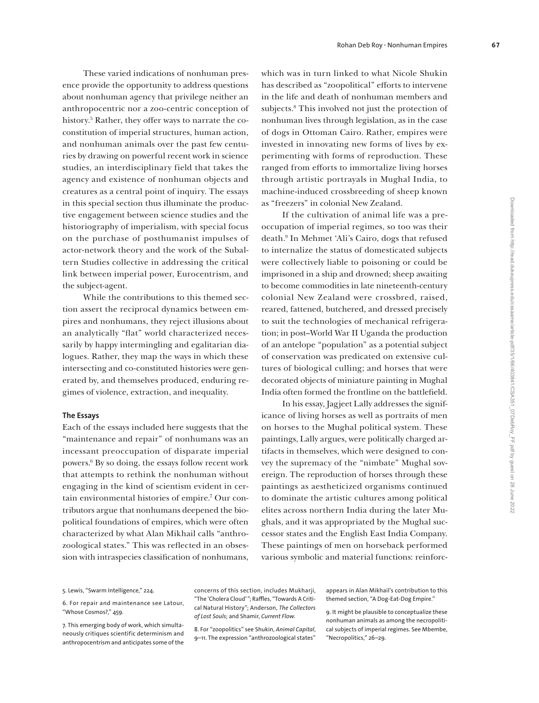These varied indications of nonhuman presence provide the opportunity to address questions about nonhuman agency that privilege neither an anthropocentric nor a zoo-centric conception of history.5 Rather, they offer ways to narrate the coconstitution of imperial structures, human action, and nonhuman animals over the past few centuries by drawing on powerful recent work in science studies, an interdisciplinary field that takes the agency and existence of nonhuman objects and creatures as a central point of inquiry. The essays in this special section thus illuminate the productive engagement between science studies and the historiography of imperialism, with special focus on the purchase of posthumanist impulses of actor-network theory and the work of the Subaltern Studies collective in addressing the critical link between imperial power, Eurocentrism, and the subject-agent.

While the contributions to this themed section assert the reciprocal dynamics between empires and nonhumans, they reject illusions about an analytically "flat" world characterized necessarily by happy intermingling and egalitarian dialogues. Rather, they map the ways in which these intersecting and co-constituted histories were generated by, and themselves produced, enduring regimes of violence, extraction, and inequality.

#### **The Essays**

Each of the essays included here suggests that the "maintenance and repair" of nonhumans was an incessant preoccupation of disparate imperial powers.6 By so doing, the essays follow recent work that attempts to rethink the nonhuman without engaging in the kind of scientism evident in certain environmental histories of empire.7 Our contributors argue that nonhumans deepened the biopolitical foundations of empires, which were often characterized by what Alan Mikhail calls "anthrozoological states." This was reflected in an obsession with intraspecies classification of nonhumans,

which was in turn linked to what Nicole Shukin has described as "zoopolitical" efforts to intervene in the life and death of nonhuman members and subjects.8 This involved not just the protection of nonhuman lives through legislation, as in the case of dogs in Ottoman Cairo. Rather, empires were invested in innovating new forms of lives by experimenting with forms of reproduction. These ranged from efforts to immortalize living horses through artistic portrayals in Mughal India, to machine-induced crossbreeding of sheep known as "freezers" in colonial New Zealand.

If the cultivation of animal life was a preoccupation of imperial regimes, so too was their death.9 In Mehmet 'Ali's Cairo, dogs that refused to internalize the status of domesticated subjects were collectively liable to poisoning or could be imprisoned in a ship and drowned; sheep awaiting to become commodities in late nineteenth-century colonial New Zealand were crossbred, raised, reared, fattened, butchered, and dressed precisely to suit the technologies of mechanical refrigeration; in post–World War II Uganda the production of an antelope "population" as a potential subject of conservation was predicated on extensive cultures of biological culling; and horses that were decorated objects of miniature painting in Mughal India often formed the frontline on the battlefield.

In his essay, Jagjeet Lally addresses the significance of living horses as well as portraits of men on horses to the Mughal political system. These paintings, Lally argues, were politically charged artifacts in themselves, which were designed to convey the supremacy of the "nimbate" Mughal sovereign. The reproduction of horses through these paintings as aestheticized organisms continued to dominate the artistic cultures among political elites across northern India during the later Mughals, and it was appropriated by the Mughal successor states and the English East India Company. These paintings of men on horseback performed various symbolic and material functions: reinforc-

concerns of this section, includes Mukharji, "The 'Cholera Cloud'"; Raffles, "Towards A Critical Natural History"; Anderson, *The Collectors of Lost Souls*; and Shamir, *Current Flow*.

8. For "zoopolitics" see Shukin, *Animal Capital*, 9–11. The expression "anthrozoological states"

appears in Alan Mikhail's contribution to this themed section, "A Dog-Eat-Dog Empire."

9. It might be plausible to conceptualize these nonhuman animals as among the necropolitical subjects of imperial regimes. See Mbembe, "Necropolitics," 26–29.

<sup>5.</sup> Lewis, "Swarm Intelligence," 224.

<sup>6.</sup> For repair and maintenance see Latour, "Whose Cosmos?," 459.

<sup>7.</sup> This emerging body of work, which simultaneously critiques scientific determinism and anthropocentrism and anticipates some of the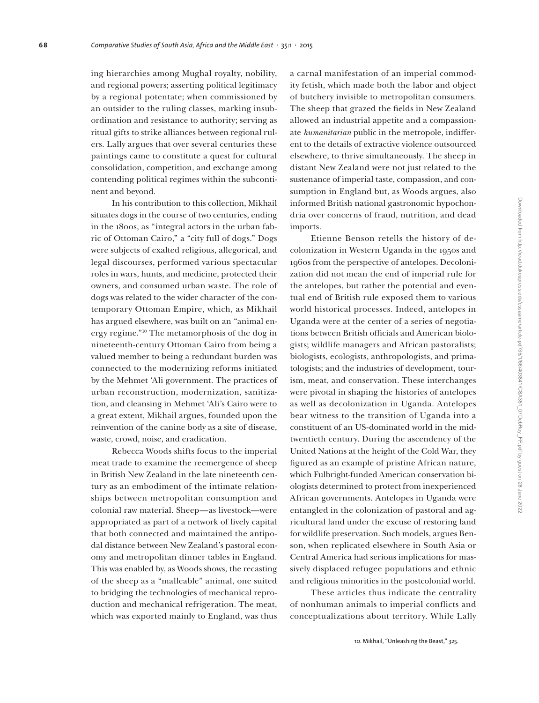ing hierarchies among Mughal royalty, nobility, and regional powers; asserting political legitimacy by a regional potentate; when commissioned by an outsider to the ruling classes, marking insubordination and resistance to authority; serving as ritual gifts to strike alliances between regional rulers. Lally argues that over several centuries these paintings came to constitute a quest for cultural consolidation, competition, and exchange among contending political regimes within the subcontinent and beyond.

In his contribution to this collection, Mikhail situates dogs in the course of two centuries, ending in the 1800s, as "integral actors in the urban fabric of Ottoman Cairo," a "city full of dogs." Dogs were subjects of exalted religious, allegorical, and legal discourses, performed various spectacular roles in wars, hunts, and medicine, protected their owners, and consumed urban waste. The role of dogs was related to the wider character of the contemporary Ottoman Empire, which, as Mikhail has argued elsewhere, was built on an "animal energy regime."10 The metamorphosis of the dog in nineteenth-century Ottoman Cairo from being a valued member to being a redundant burden was connected to the modernizing reforms initiated by the Mehmet 'Ali government. The practices of urban reconstruction, modernization, sanitization, and cleansing in Mehmet 'Ali's Cairo were to a great extent, Mikhail argues, founded upon the reinvention of the canine body as a site of disease, waste, crowd, noise, and eradication.

Rebecca Woods shifts focus to the imperial meat trade to examine the reemergence of sheep in British New Zealand in the late nineteenth century as an embodiment of the intimate relationships between metropolitan consumption and colonial raw material. Sheep—as livestock—were appropriated as part of a network of lively capital that both connected and maintained the antipodal distance between New Zealand's pastoral economy and metropolitan dinner tables in England. This was enabled by, as Woods shows, the recasting of the sheep as a "malleable" animal, one suited to bridging the technologies of mechanical reproduction and mechanical refrigeration. The meat, which was exported mainly to England, was thus

a carnal manifestation of an imperial commodity fetish, which made both the labor and object of butchery invisible to metropolitan consumers. The sheep that grazed the fields in New Zealand allowed an industrial appetite and a compassionate *humanitarian* public in the metropole, indifferent to the details of extractive violence outsourced elsewhere, to thrive simultaneously. The sheep in distant New Zealand were not just related to the sustenance of imperial taste, compassion, and consumption in England but, as Woods argues, also informed British national gastronomic hypochondria over concerns of fraud, nutrition, and dead imports.

Etienne Benson retells the history of decolonization in Western Uganda in the 1950s and 1960s from the perspective of antelopes. Decolonization did not mean the end of imperial rule for the antelopes, but rather the potential and eventual end of British rule exposed them to various world historical processes. Indeed, antelopes in Uganda were at the center of a series of negotiations between British officials and American biologists; wildlife managers and African pastoralists; biologists, ecologists, anthropologists, and primatologists; and the industries of development, tourism, meat, and conservation. These interchanges were pivotal in shaping the histories of antelopes as well as decolonization in Uganda. Antelopes bear witness to the transition of Uganda into a constituent of an US-dominated world in the midtwentieth century. During the ascendency of the United Nations at the height of the Cold War, they figured as an example of pristine African nature, which Fulbright-funded American conservation biologists determined to protect from inexperienced African governments. Antelopes in Uganda were entangled in the colonization of pastoral and agricultural land under the excuse of restoring land for wildlife preservation. Such models, argues Benson, when replicated elsewhere in South Asia or Central America had serious implications for massively displaced refugee populations and ethnic and religious minorities in the postcolonial world.

These articles thus indicate the centrality of nonhuman animals to imperial conflicts and conceptualizations about territory. While Lally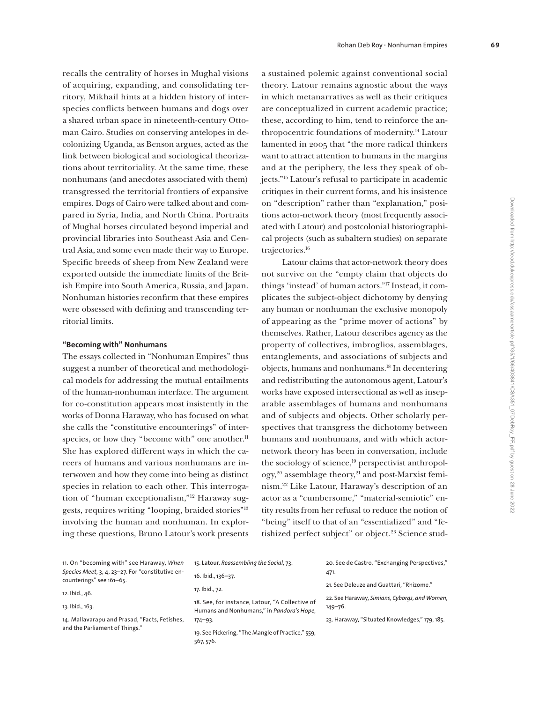recalls the centrality of horses in Mughal visions of acquiring, expanding, and consolidating territory, Mikhail hints at a hidden history of interspecies conflicts between humans and dogs over a shared urban space in nineteenth-century Ottoman Cairo. Studies on conserving antelopes in decolonizing Uganda, as Benson argues, acted as the link between biological and sociological theorizations about territoriality. At the same time, these nonhumans (and anecdotes associated with them) transgressed the territorial frontiers of expansive empires. Dogs of Cairo were talked about and compared in Syria, India, and North China. Portraits of Mughal horses circulated beyond imperial and provincial libraries into Southeast Asia and Central Asia, and some even made their way to Europe. Specific breeds of sheep from New Zealand were exported outside the immediate limits of the British Empire into South America, Russia, and Japan. Nonhuman histories reconfirm that these empires were obsessed with defining and transcending territorial limits.

#### **"Becoming with" Nonhumans**

and the Parliament of Things."

The essays collected in "Nonhuman Empires" thus suggest a number of theoretical and methodological models for addressing the mutual entailments of the human-nonhuman interface. The argument for co-constitution appears most insistently in the works of Donna Haraway, who has focused on what she calls the "constitutive encounterings" of interspecies, or how they "become with" one another.<sup>11</sup> She has explored different ways in which the careers of humans and various nonhumans are interwoven and how they come into being as distinct species in relation to each other. This interrogation of "human exceptionalism,"12 Haraway suggests, requires writing "looping, braided stories"13 involving the human and nonhuman. In exploring these questions, Bruno Latour's work presents

a sustained polemic against conventional social theory. Latour remains agnostic about the ways in which metanarratives as well as their critiques are conceptualized in current academic practice; these, according to him, tend to reinforce the anthropocentric foundations of modernity.14 Latour lamented in 2005 that "the more radical thinkers want to attract attention to humans in the margins and at the periphery, the less they speak of objects."15 Latour's refusal to participate in academic critiques in their current forms, and his insistence on "description" rather than "explanation," positions actor-network theory (most frequently associated with Latour) and postcolonial historiographical projects (such as subaltern studies) on separate trajectories.16

Latour claims that actor-network theory does not survive on the "empty claim that objects do things 'instead' of human actors."17 Instead, it complicates the subject-object dichotomy by denying any human or nonhuman the exclusive monopoly of appearing as the "prime mover of actions" by themselves. Rather, Latour describes agency as the property of collectives, imbroglios, assemblages, entanglements, and associations of subjects and objects, humans and nonhumans.18 In decentering and redistributing the autonomous agent, Latour's works have exposed intersectional as well as inseparable assemblages of humans and nonhumans and of subjects and objects. Other scholarly perspectives that transgress the dichotomy between humans and nonhumans, and with which actornetwork theory has been in conversation, include the sociology of science,<sup>19</sup> perspectivist anthropol- $\log y$ ,<sup>20</sup> assemblage theory,<sup>21</sup> and post-Marxist feminism.22 Like Latour, Haraway's description of an actor as a "cumbersome," "material-semiotic" entity results from her refusal to reduce the notion of "being" itself to that of an "essentialized" and "fetishized perfect subject" or object.<sup>23</sup> Science stud-

11. On "becoming with" see Haraway, *When Species Meet*, 3, 4, 23–27. For "constitutive encounterings" see 161–65. 12. Ibid., 46. 13. Ibid., 163. 14. Mallavarapu and Prasad, "Facts, Fetishes, 15. Latour, *Reassembling the Social*, 73. 16. Ibid., 136–37. 17. Ibid., 72. 18. See, for instance, Latour, "A Collective of Humans and Nonhumans," in *Pandora's Hope*, 174–93. 20. See de Castro, "Exchanging Perspectives," 471. 21. See Deleuze and Guattari, "Rhizome." 22. See Haraway, *Simians, Cyborgs, and Women*, 149–76. 23. Haraway, "Situated Knowledges," 179, 185.

19. See Pickering, "The Mangle of Practice," 559,

567, 576.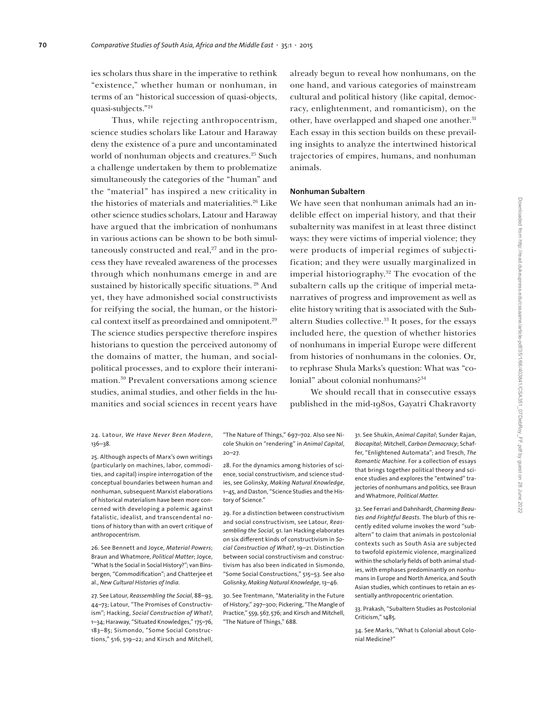ies scholars thus share in the imperative to rethink "existence," whether human or nonhuman, in terms of an "historical succession of quasi-objects, quasi-subjects."24

Thus, while rejecting anthropocentrism, science studies scholars like Latour and Haraway deny the existence of a pure and uncontaminated world of nonhuman objects and creatures.<sup>25</sup> Such a challenge undertaken by them to problematize simultaneously the categories of the "human" and the "material" has inspired a new criticality in the histories of materials and materialities.26 Like other science studies scholars, Latour and Haraway have argued that the imbrication of nonhumans in various actions can be shown to be both simultaneously constructed and real, $27$  and in the process they have revealed awareness of the processes through which nonhumans emerge in and are sustained by historically specific situations. 28 And yet, they have admonished social constructivists for reifying the social, the human, or the historical context itself as preordained and omnipotent.<sup>29</sup> The science studies perspective therefore inspires historians to question the perceived autonomy of the domains of matter, the human, and socialpolitical processes, and to explore their interanimation.30 Prevalent conversations among science studies, animal studies, and other fields in the humanities and social sciences in recent years have already begun to reveal how nonhumans, on the one hand, and various categories of mainstream cultural and political history (like capital, democracy, enlightenment, and romanticism), on the other, have overlapped and shaped one another.<sup>31</sup> Each essay in this section builds on these prevailing insights to analyze the intertwined historical trajectories of empires, humans, and nonhuman animals.

#### **Nonhuman Subaltern**

We have seen that nonhuman animals had an indelible effect on imperial history, and that their subalternity was manifest in at least three distinct ways: they were victims of imperial violence; they were products of imperial regimes of subjectification; and they were usually marginalized in imperial historiography.32 The evocation of the subaltern calls up the critique of imperial metanarratives of progress and improvement as well as elite history writing that is associated with the Subaltern Studies collective.<sup>33</sup> It poses, for the essays included here, the question of whether histories of nonhumans in imperial Europe were different from histories of nonhumans in the colonies. Or, to rephrase Shula Marks's question: What was "colonial" about colonial nonhumans?<sup>34</sup>

We should recall that in consecutive essays published in the mid-1980s, Gayatri Chakravorty

24. Latour, *We Have Never Been Modern*, 136–38.

25. Although aspects of Marx's own writings (particularly on machines, labor, commodities, and capital) inspire interrogation of the conceptual boundaries between human and nonhuman, subsequent Marxist elaborations of historical materialism have been more concerned with developing a polemic against fatalistic, idealist, and transcendental notions of history than with an overt critique of anthropocentrism.

26. See Bennett and Joyce, *Material Powers*; Braun and Whatmore, *Political Matter*; Joyce, "What Is the Social in Social History?"; van Binsbergen, "Commodification"; and Chatterjee et al., *New Cultural Histories of India*.

27. See Latour, *Reassembling the Social*, 88–93, 44–73; Latour, "The Promises of Constructivism"; Hacking, *Social Construction of What?*, 1–34; Haraway, "Situated Knowledges," 175–76, 183–85; Sismondo, "Some Social Constructions," 516, 519–22; and Kirsch and Mitchell, "The Nature of Things," 697–702. Also see Nicole Shukin on "rendering" in *Animal Capital*,  $20 - 27$ .

28. For the dynamics among histories of science, social constructivism, and science studies, see Golinsky, *Making Natural Knowledge*, 1–45, and Daston, "Science Studies and the History of Science."

29. For a distinction between constructivism and social constructivism, see Latour, *Reassembling the Social*, 91. Ian Hacking elaborates on six different kinds of constructivism in *Social Construction of What?*, 19–21. Distinction between social constructivism and constructivism has also been indicated in Sismondo, "Some Social Constructions," 515–53. See also Golisnky, *Making Natural Knowledge*, 13–46.

30. See Trentmann, "Materiality in the Future of History," 297–300; Pickering, "The Mangle of Practice," 559, 567, 576; and Kirsch and Mitchell, "The Nature of Things," 688.

31. See Shukin, *Animal Capital*; Sunder Rajan, *Biocapital*; Mitchell, *Carbon Democracy*; Schaffer, "Enlightened Automata"; and Tresch, *The Romantic Machine.* For a collection of essays that brings together political theory and science studies and explores the "entwined" trajectories of nonhumans and politics, see Braun and Whatmore, *Political Matter*.

32. See Ferrari and Dahnhardt, *Charming Beauties and Frightful Beasts.* The blurb of this recently edited volume invokes the word "subaltern" to claim that animals in postcolonial contexts such as South Asia are subjected to twofold epistemic violence, marginalized within the scholarly fields of both animal studies, with emphases predominantly on nonhumans in Europe and North America, and South Asian studies, which continues to retain an essentially anthropocentric orientation.

33. Prakash, "Subaltern Studies as Postcolonial Criticism," 1485.

34. See Marks, "What Is Colonial about Colonial Medicine?"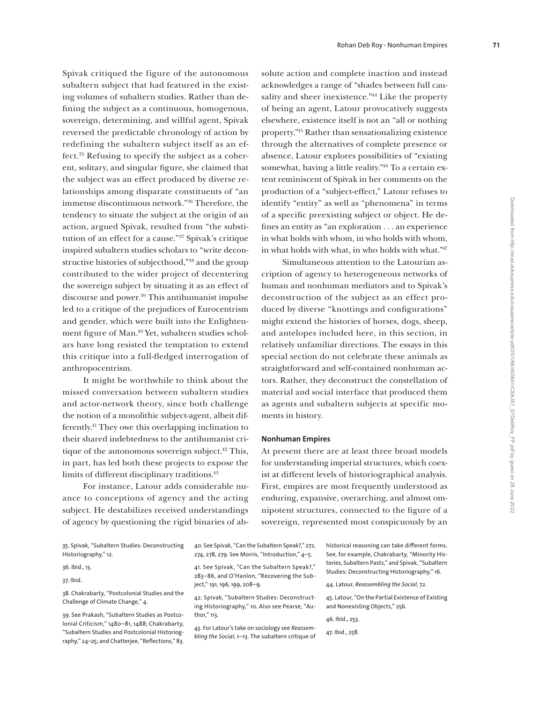Spivak critiqued the figure of the autonomous subaltern subject that had featured in the existing volumes of subaltern studies. Rather than defining the subject as a continuous, homogenous, sovereign, determining, and willful agent, Spivak reversed the predictable chronology of action by redefining the subaltern subject itself as an effect.35 Refusing to specify the subject as a coherent, solitary, and singular figure, she claimed that the subject was an effect produced by diverse relationships among disparate constituents of "an immense discontinuous network."36 Therefore, the tendency to situate the subject at the origin of an action, argued Spivak, resulted from "the substitution of an effect for a cause."37 Spivak's critique inspired subaltern studies scholars to "write deconstructive histories of subjecthood,"38 and the group contributed to the wider project of decentering the sovereign subject by situating it as an effect of discourse and power.<sup>39</sup> This antihumanist impulse led to a critique of the prejudices of Eurocentrism and gender, which were built into the Enlightenment figure of Man.<sup>40</sup> Yet, subaltern studies scholars have long resisted the temptation to extend this critique into a full-fledged interrogation of anthropocentrism.

It might be worthwhile to think about the missed conversation between subaltern studies and actor-network theory, since both challenge the notion of a monolithic subject-agent, albeit differently.41 They owe this overlapping inclination to their shared indebtedness to the antihumanist critique of the autonomous sovereign subject.<sup>42</sup> This, in part, has led both these projects to expose the limits of different disciplinary traditions.<sup>43</sup>

For instance, Latour adds considerable nuance to conceptions of agency and the acting subject. He destabilizes received understandings of agency by questioning the rigid binaries of ab-

raphy," 24–25; and Chatterjee, "Reflections," 83.

solute action and complete inaction and instead acknowledges a range of "shades between full causality and sheer inexistence."44 Like the property of being an agent, Latour provocatively suggests elsewhere, existence itself is not an "all or nothing property."45 Rather than sensationalizing existence through the alternatives of complete presence or absence, Latour explores possibilities of "existing somewhat, having a little reality.<sup>"46</sup> To a certain extent reminiscent of Spivak in her comments on the production of a "subject-effect," Latour refuses to identify "entity" as well as "phenomena" in terms of a specific preexisting subject or object. He defines an entity as "an exploration . . . an experience in what holds with whom, in who holds with whom, in what holds with what, in who holds with what."47

Simultaneous attention to the Latourian ascription of agency to heterogeneous networks of human and nonhuman mediators and to Spivak's deconstruction of the subject as an effect produced by diverse "knottings and configurations" might extend the histories of horses, dogs, sheep, and antelopes included here, in this section, in relatively unfamiliar directions. The essays in this special section do not celebrate these animals as straightforward and self-contained nonhuman actors. Rather, they deconstruct the constellation of material and social interface that produced them as agents and subaltern subjects at specific moments in history.

### **Nonhuman Empires**

At present there are at least three broad models for understanding imperial structures, which coexist at different levels of historiographical analysis. First, empires are most frequently understood as enduring, expansive, overarching, and almost omnipotent structures, connected to the figure of a sovereign, represented most conspicuously by an

| 35. Spivak, "Subaltern Studies: Deconstructing<br>Historiography," 12.                           | 40. See Spivak, "Can the Subaltern Speak?," 272,<br>274, 278, 279. See Morris, "Introduction," 4-5.  | historical reasoning can take different forms.<br>See, for example, Chakrabarty, "Minority His-  |
|--------------------------------------------------------------------------------------------------|------------------------------------------------------------------------------------------------------|--------------------------------------------------------------------------------------------------|
| 36. Ibid., 13.                                                                                   | 41. See Spivak, "Can the Subaltern Speak?,"                                                          | tories, Subaltern Pasts," and Spivak, "Subaltern<br>Studies: Deconstructing Historiography," 16. |
| 37. Ibid.                                                                                        | 283-86, and O'Hanlon, "Recovering the Sub-<br>ject," 191, 196, 199, 208-9.                           | 44. Latour, Reassembling the Social, 72.                                                         |
| 38. Chakrabarty, "Postcolonial Studies and the<br>Challenge of Climate Change," 4.               | 42. Spivak, "Subaltern Studies: Deconstruct-<br>ing Historiography," 10. Also see Pearse, "Au-       | 45. Latour, "On the Partial Existence of Existing<br>and Nonexisting Objects," 256.              |
| 39. See Prakash, "Subaltern Studies as Postco-                                                   | thor," 113.                                                                                          | 46. Ibid., 253.                                                                                  |
| lonial Criticism," 1480–81, 1488; Chakrabarty,<br>"Subaltern Studies and Postcolonial Historiog- | 43. For Latour's take on sociology see Reassem-<br>bling the Social, 1-13. The subaltern critique of | 47. Ibid., 258.                                                                                  |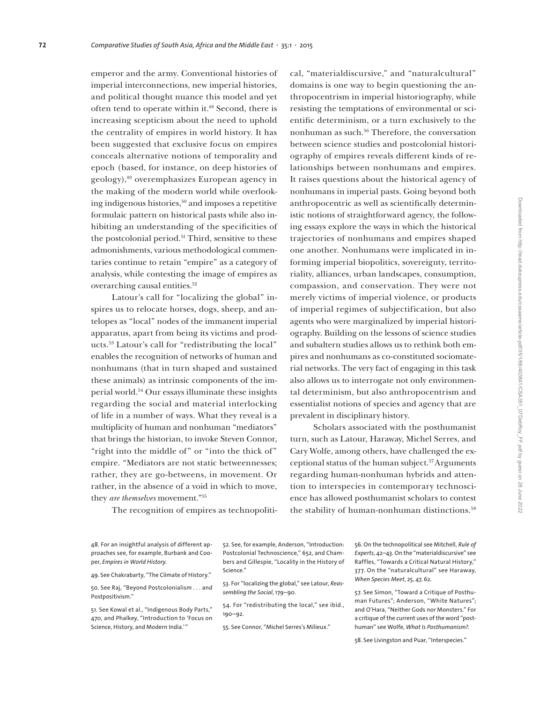emperor and the army. Conventional histories of imperial interconnections, new imperial histories, and political thought nuance this model and yet often tend to operate within it.<sup>48</sup> Second, there is increasing scepticism about the need to uphold the centrality of empires in world history. It has been suggested that exclusive focus on empires conceals alternative notions of temporality and epoch (based, for instance, on deep histories of geology),49 overemphasizes European agency in the making of the modern world while overlooking indigenous histories,<sup>50</sup> and imposes a repetitive formulaic pattern on historical pasts while also inhibiting an understanding of the specificities of the postcolonial period.<sup>51</sup> Third, sensitive to these admonishments, various methodological commentaries continue to retain "empire" as a category of analysis, while contesting the image of empires as overarching causal entities.<sup>52</sup>

Latour's call for "localizing the global" inspires us to relocate horses, dogs, sheep, and antelopes as "local" nodes of the immanent imperial apparatus, apart from being its victims and products.53 Latour's call for "redistributing the local" enables the recognition of networks of human and nonhumans (that in turn shaped and sustained these animals) as intrinsic components of the imperial world.54 Our essays illuminate these insights regarding the social and material interlocking of life in a number of ways. What they reveal is a multiplicity of human and nonhuman "mediators" that brings the historian, to invoke Steven Connor, "right into the middle of" or "into the thick of" empire. "Mediators are not static betweennesses; rather, they are go-betweens, in movement. Or rather, in the absence of a void in which to move, they *are themselves* movement."55

cal, "materialdiscursive," and "naturalcultural" domains is one way to begin questioning the anthropocentrism in imperial historiography, while resisting the temptations of environmental or scientific determinism, or a turn exclusively to the nonhuman as such.<sup>56</sup> Therefore, the conversation between science studies and postcolonial historiography of empires reveals different kinds of relationships between nonhumans and empires. It raises questions about the historical agency of nonhumans in imperial pasts. Going beyond both anthropocentric as well as scientifically deterministic notions of straightforward agency, the following essays explore the ways in which the historical trajectories of nonhumans and empires shaped one another. Nonhumans were implicated in informing imperial biopolitics, sovereignty, territoriality, alliances, urban landscapes, consumption, compassion, and conservation. They were not merely victims of imperial violence, or products of imperial regimes of subjectification, but also agents who were marginalized by imperial historiography. Building on the lessons of science studies and subaltern studies allows us to rethink both empires and nonhumans as co-constituted sociomaterial networks. The very fact of engaging in this task also allows us to interrogate not only environmental determinism, but also anthropocentrism and essentialist notions of species and agency that are prevalent in disciplinary history.

 Scholars associated with the posthumanist turn, such as Latour, Haraway, Michel Serres, and Cary Wolfe, among others, have challenged the exceptional status of the human subject.57 Arguments regarding human-nonhuman hybrids and attention to interspecies in contemporary technoscience has allowed posthumanist scholars to contest the stability of human-nonhuman distinctions.<sup>58</sup>

The recognition of empires as technopoliti-

48. For an insightful analysis of different approaches see, for example, Burbank and Cooper, *Empires in World History*.

50. See Raj, "Beyond Postcolonialism . . . and Postpositivism."

52. See, for example, Anderson, "Introduction: Postcolonial Technoscience," 652, and Chambers and Gillespie, "Locality in the History of Science."

53. For "localizing the global," see Latour, *Reassembling the Social*, 179–90.

54. For "redistributing the local," see ibid., 190–92.

55. See Connor, "Michel Serres's Milieux."

56. On the technopolitical see Mitchell, *Rule of Experts*, 42–43. On the "materialdiscursive" see Raffles, "Towards a Critical Natural History," 377. On the "naturalcultural" see Haraway, *When Species Meet*, 25, 47, 62.

57. See Simon, "Toward a Critique of Posthuman Futures"; Anderson, "White Natures"; and O'Hara, "Neither Gods nor Monsters." For a critique of the current uses of the word "posthuman" see Wolfe, *What Is Posthumanism?*.

<sup>49.</sup> See Chakrabarty, "The Climate of History."

<sup>51.</sup> See Kowal et al., "Indigenous Body Parts," 470, and Phalkey, "Introduction to 'Focus on Science, History, and Modern India.' "

<sup>58.</sup> See Livingston and Puar, "Interspecies."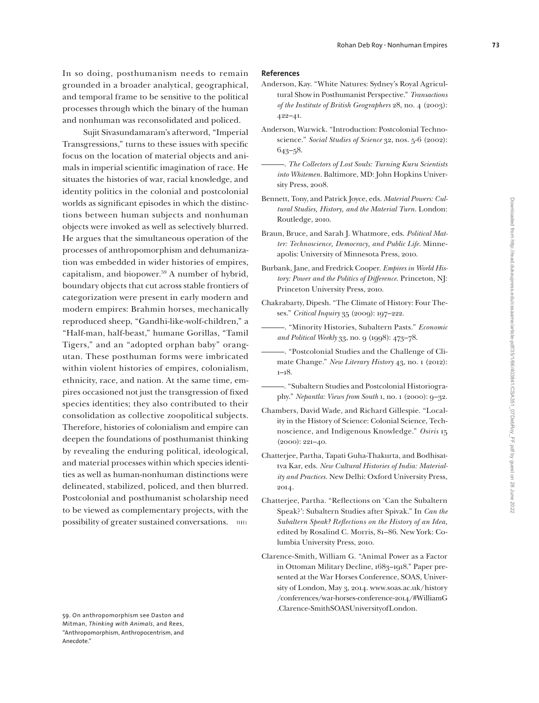In so doing, posthumanism needs to remain grounded in a broader analytical, geographical, and temporal frame to be sensitive to the political processes through which the binary of the human and nonhuman was reconsolidated and policed.

Sujit Sivasundamaram's afterword, "Imperial Transgressions," turns to these issues with specific focus on the location of material objects and animals in imperial scientific imagination of race. He situates the histories of war, racial knowledge, and identity politics in the colonial and postcolonial worlds as significant episodes in which the distinctions between human subjects and nonhuman objects were invoked as well as selectively blurred. He argues that the simultaneous operation of the processes of anthropomorphism and dehumanization was embedded in wider histories of empires, capitalism, and biopower.59 A number of hybrid, boundary objects that cut across stable frontiers of categorization were present in early modern and modern empires: Brahmin horses, mechanically reproduced sheep, "Gandhi-like-wolf-children," a "Half-man, half-beast," humane Gorillas, "Tamil Tigers," and an "adopted orphan baby" orangutan. These posthuman forms were imbricated within violent histories of empires, colonialism, ethnicity, race, and nation. At the same time, empires occasioned not just the transgression of fixed species identities; they also contributed to their consolidation as collective zoopolitical subjects. Therefore, histories of colonialism and empire can deepen the foundations of posthumanist thinking by revealing the enduring political, ideological, and material processes within which species identities as well as human-nonhuman distinctions were delineated, stabilized, policed, and then blurred. Postcolonial and posthumanist scholarship need to be viewed as complementary projects, with the possibility of greater sustained conversations.

#### **References**

- Anderson, Kay. "White Natures: Sydney's Royal Agricultural Show in Posthumanist Perspective." *Transactions of the Institute of British Geographers* 28, no. 4 (2003): 422–41.
- Anderson, Warwick. "Introduction: Postcolonial Technoscience." *Social Studies of Science* 32, nos. 5-6 (2002): 643–58.
- ———. *The Collectors of Lost Souls: Turning Kuru Scientists into Whitemen*. Baltimore, MD: John Hopkins University Press, 2008.
- Bennett, Tony, and Patrick Joyce, eds. *Material Powers: Cultural Studies, History, and the Material Turn*. London: Routledge, 2010.
- Braun, Bruce, and Sarah J. Whatmore, eds. *Political Matter: Technoscience, Democracy, and Public Life*. Minneapolis: University of Minnesota Press, 2010.
- Burbank, Jane, and Fredrick Cooper. *Empires in World History: Power and the Politics of Difference*. Princeton, NJ: Princeton University Press, 2010.
- Chakrabarty, Dipesh. "The Climate of History: Four Theses." *Critical Inquiry* 35 (2009): 197–222.
- ———. "Minority Histories, Subaltern Pasts." *Economic and Political Weekly* 33, no. 9 (1998): 473–78.
- ———. "Postcolonial Studies and the Challenge of Climate Change." *New Literary History* 43, no. 1 (2012): 1–18.
- ———. "Subaltern Studies and Postcolonial Historiography." *Nepantla: Views from South* 1, no. 1 (2000): 9–32.
- Chambers, David Wade, and Richard Gillespie. "Locality in the History of Science: Colonial Science, Technoscience, and Indigenous Knowledge." *Osiris* 15 (2000): 221–40.
- Chatterjee, Partha, Tapati Guha-Thakurta, and Bodhisattva Kar, eds. *New Cultural Histories of India: Materiality and Practices*. New Delhi: Oxford University Press, 2014.
- Chatterjee, Partha. "Reflections on 'Can the Subaltern Speak?': Subaltern Studies after Spivak." In *Can the Subaltern Speak? Reflections on the History of an Idea,* edited by Rosalind C. Morris, 81–86. New York: Columbia University Press, 2010.
- Clarence-Smith, William G. "Animal Power as a Factor in Ottoman Military Decline, 1683–1918." Paper presented at the War Horses Conference, SOAS, University of London, May 3, 2014. www.soas.ac.uk/history /conferences/war-horses-conference-2014/#WilliamG .Clarence-SmithSOASUniversityofLondon.

<sup>59.</sup> On anthropomorphism see Daston and Mitman, *Thinking with Animals*, and Rees, "Anthropomorphism, Anthropocentrism, and Anecdote."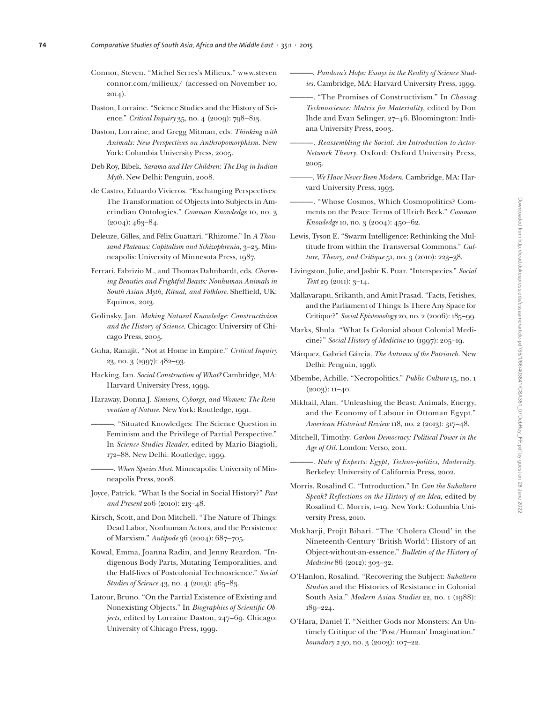- Connor, Steven. "Michel Serres's Milieux." www.steven connor.com/milieux/ (accessed on November 10,  $2014$ ).
- Daston, Lorraine. "Science Studies and the History of Science." *Critical Inquiry* 35, no. 4 (2009): 798–813.
- Daston, Lorraine, and Gregg Mitman, eds. *Thinking with Animals: New Perspectives on Anthropomorphism*. New York: Columbia University Press, 2005.
- Deb Roy, Bibek. *Sarama and Her Children: The Dog in Indian Myth*. New Delhi: Penguin, 2008.
- de Castro, Eduardo Vivieros. "Exchanging Perspectives: The Transformation of Objects into Subjects in Amerindian Ontologies." *Common Knowledge* 10, no. 3  $(2004): 463 - 84.$
- Deleuze, Gilles, and Félix Guattari. "Rhizome." In *A Thousand Plateaus: Capitalism and Schizophrenia*, 3–25. Minneapolis: University of Minnesota Press, 1987.
- Ferrari, Fabrizio M., and Thomas Dahnhardt, eds. *Charming Beauties and Frightful Beasts: Nonhuman Animals in South Asian Myth, Ritual, and Folklore*. Sheffield, UK: Equinox, 2013.
- Golinsky, Jan. *Making Natural Knowledge: Constructivism and the History of Science*. Chicago: University of Chicago Press, 2005.
- Guha, Ranajit. "Not at Home in Empire." *Critical Inquiry* 23, no. 3 (1997): 482–93.
- Hacking, Ian. *Social Construction of What?* Cambridge, MA: Harvard University Press, 1999.
- Haraway, Donna J. *Simians, Cyborgs, and Women: The Reinvention of Nature.* New York: Routledge, 1991.
	- ———. "Situated Knowledges: The Science Question in Feminism and the Privilege of Partial Perspective." In *Science Studies Reader*, edited by Mario Biagioli, 172–88. New Delhi: Routledge, 1999.
	- ———. *When Species Meet*. Minneapolis: University of Minneapolis Press, 2008.
- Joyce, Patrick. "What Is the Social in Social History?" *Past and Present* 206 (2010): 213–48.
- Kirsch, Scott, and Don Mitchell. "The Nature of Things: Dead Labor, Nonhuman Actors, and the Persistence of Marxism." *Antipode* 36 (2004): 687–705.
- Kowal, Emma, Joanna Radin, and Jenny Reardon. "Indigenous Body Parts, Mutating Temporalities, and the Half-lives of Postcolonial Technoscience." *Social Studies of Science* 43, no. 4 (2013): 465–83.
- Latour, Bruno. "On the Partial Existence of Existing and Nonexisting Objects." In *Biographies of Scientific Objects*, edited by Lorraine Daston, 247–69. Chicago: University of Chicago Press, 1999.
- ———. *Pandora's Hope: Essays in the Reality of Science Studies*. Cambridge, MA: Harvard University Press, 1999.
- ———. "The Promises of Constructivism." In *Chasing Technoscience: Matrix for Materiality*, edited by Don Ihde and Evan Selinger, 27–46. Bloomington: Indiana University Press, 2003.
- $-$ . *Reassembling the Social: An Introduction to Actor-Network Theory*. Oxford: Oxford University Press, 2005.
- ———. *We Have Never Been Modern*. Cambridge, MA: Harvard University Press, 1993.
- ———. "Whose Cosmos, Which Cosmopolitics? Comments on the Peace Terms of Ulrich Beck." *Common Knowledge* 10, no. 3 (2004): 450–62.
- Lewis, Tyson E. "Swarm Intelligence: Rethinking the Multitude from within the Transversal Commons." *Culture, Theory, and Critique* 51, no. 3 (2010): 223–38.
- Livingston, Julie, and Jasbir K. Puar. "Interspecies." *Social Text* 29 (2011): 3–14.
- Mallavarapu, Srikanth, and Amit Prasad. "Facts, Fetishes, and the Parliament of Things: Is There Any Space for Critique?" *Social Epistemology* 20, no. 2 (2006): 185–99.
- Marks, Shula. "What Is Colonial about Colonial Medicine?" *Social History of Medicine* 10 (1997): 205–19.
- Márquez, Gabriel Gárcia. *The Autumn of the Patriarch*. New Delhi: Penguin, 1996.
- Mbembe, Achille. "Necropolitics." *Public Culture* 15, no. 1  $(2003): 11-40.$
- Mikhail, Alan. "Unleashing the Beast: Animals, Energy, and the Economy of Labour in Ottoman Egypt." *American Historical Review* 118, no. 2 (2013): 317–48.
- Mitchell, Timothy. *Carbon Democracy: Political Power in the Age of Oil*. London: Verso, 2011.

———. *Rule of Experts: Egypt, Techno-politics, Modernity*. Berkeley: University of California Press, 2002.

- Morris, Rosalind C. "Introduction." In *Can the Subaltern Speak? Reflections on the History of an Idea,* edited by Rosalind C. Morris, 1–19. New York: Columbia University Press, 2010.
- Mukharji, Projit Bihari. "The 'Cholera Cloud' in the Nineteenth-Century 'British World': History of an Object-without-an-essence." *Bulletin of the History of Medicine* 86 (2012): 303–32.
- O'Hanlon, Rosalind. "Recovering the Subject: *Subaltern Studies* and the Histories of Resistance in Colonial South Asia." *Modern Asian Studies* 22, no. 1 (1988): 189–224.
- O'Hara, Daniel T. "Neither Gods nor Monsters: An Untimely Critique of the 'Post/Human' Imagination." *boundary 2* 30, no. 3 (2003): 107–22.